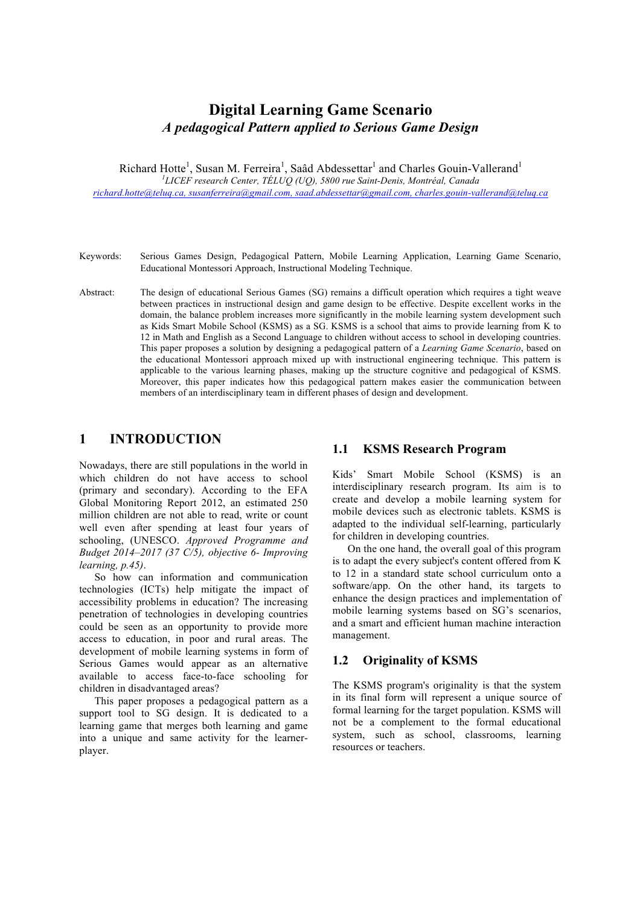# **Digital Learning Game Scenario**  *A pedagogical Pattern applied to Serious Game Design*

Richard Hotte<sup>1</sup>, Susan M. Ferreira<sup>1</sup>, Saâd Abdessettar<sup>1</sup> and Charles Gouin-Vallerand<sup>1</sup> *1 LICEF research Center, TÉLUQ (UQ), 5800 rue Saint-Denis, Montréal, Canada richard.hotte@teluq.ca, susanferreira@gmail.com, saad.abdessettar@gmail.com, charles.gouin-vallerand@teluq.ca*

- Keywords: Serious Games Design, Pedagogical Pattern, Mobile Learning Application, Learning Game Scenario, Educational Montessori Approach, Instructional Modeling Technique.
- Abstract: The design of educational Serious Games (SG) remains a difficult operation which requires a tight weave between practices in instructional design and game design to be effective. Despite excellent works in the domain, the balance problem increases more significantly in the mobile learning system development such as Kids Smart Mobile School (KSMS) as a SG. KSMS is a school that aims to provide learning from K to 12 in Math and English as a Second Language to children without access to school in developing countries. This paper proposes a solution by designing a pedagogical pattern of a *Learning Game Scenario*, based on the educational Montessori approach mixed up with instructional engineering technique. This pattern is applicable to the various learning phases, making up the structure cognitive and pedagogical of KSMS. Moreover, this paper indicates how this pedagogical pattern makes easier the communication between members of an interdisciplinary team in different phases of design and development.

#### **1 INTRODUCTION**

Nowadays, there are still populations in the world in which children do not have access to school (primary and secondary). According to the EFA Global Monitoring Report 2012, an estimated 250 million children are not able to read, write or count well even after spending at least four years of schooling, (UNESCO. *Approved Programme and Budget 2014–2017 (37 C/5), objective 6- Improving learning, p.45)*.

So how can information and communication technologies (ICTs) help mitigate the impact of accessibility problems in education? The increasing penetration of technologies in developing countries could be seen as an opportunity to provide more access to education, in poor and rural areas. The development of mobile learning systems in form of Serious Games would appear as an alternative available to access face-to-face schooling for children in disadvantaged areas?

This paper proposes a pedagogical pattern as a support tool to SG design. It is dedicated to a learning game that merges both learning and game into a unique and same activity for the learnerplayer.

#### **1.1 KSMS Research Program**

Kids' Smart Mobile School (KSMS) is an interdisciplinary research program. Its aim is to create and develop a mobile learning system for mobile devices such as electronic tablets. KSMS is adapted to the individual self-learning, particularly for children in developing countries.

On the one hand, the overall goal of this program is to adapt the every subject's content offered from K to 12 in a standard state school curriculum onto a software/app. On the other hand, its targets to enhance the design practices and implementation of mobile learning systems based on SG's scenarios, and a smart and efficient human machine interaction management.

# **1.2 Originality of KSMS**

The KSMS program's originality is that the system in its final form will represent a unique source of formal learning for the target population. KSMS will not be a complement to the formal educational system, such as school, classrooms, learning resources or teachers.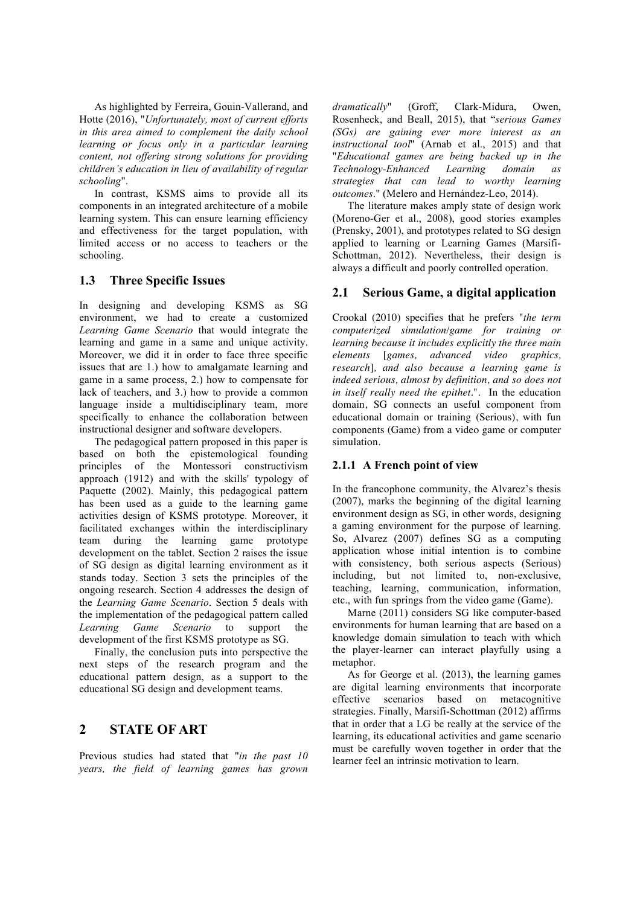As highlighted by Ferreira, Gouin-Vallerand, and Hotte (2016), "*Unfortunately, most of current efforts in this area aimed to complement the daily school learning or focus only in a particular learning content, not offering strong solutions for providing children's education in lieu of availability of regular schooling*".

In contrast, KSMS aims to provide all its components in an integrated architecture of a mobile learning system. This can ensure learning efficiency and effectiveness for the target population, with limited access or no access to teachers or the schooling.

#### **1.3 Three Specific Issues**

In designing and developing KSMS as SG environment, we had to create a customized *Learning Game Scenario* that would integrate the learning and game in a same and unique activity. Moreover, we did it in order to face three specific issues that are 1.) how to amalgamate learning and game in a same process, 2.) how to compensate for lack of teachers, and 3.) how to provide a common language inside a multidisciplinary team, more specifically to enhance the collaboration between instructional designer and software developers.

The pedagogical pattern proposed in this paper is based on both the epistemological founding principles of the Montessori constructivism approach (1912) and with the skills' typology of Paquette (2002). Mainly, this pedagogical pattern has been used as a guide to the learning game activities design of KSMS prototype. Moreover, it facilitated exchanges within the interdisciplinary team during the learning game prototype development on the tablet. Section 2 raises the issue of SG design as digital learning environment as it stands today. Section 3 sets the principles of the ongoing research. Section 4 addresses the design of the *Learning Game Scenario*. Section 5 deals with the implementation of the pedagogical pattern called *Learning Game Scenario* to support the development of the first KSMS prototype as SG.

Finally, the conclusion puts into perspective the next steps of the research program and the educational pattern design, as a support to the educational SG design and development teams.

### **2 STATE OF ART**

Previous studies had stated that "*in the past 10 years, the field of learning games has grown*  *dramatically*" (Groff, Clark-Midura, Owen, Rosenheck, and Beall, 2015), that "*serious Games (SGs) are gaining ever more interest as an instructional tool*" (Arnab et al., 2015) and that "*Educational games are being backed up in the Technology-Enhanced Learning domain as strategies that can lead to worthy learning outcomes*." (Melero and Hernández-Leo, 2014).

The literature makes amply state of design work (Moreno-Ger et al., 2008), good stories examples (Prensky, 2001), and prototypes related to SG design applied to learning or Learning Games (Marsifi-Schottman, 2012). Nevertheless, their design is always a difficult and poorly controlled operation.

#### **2.1 Serious Game, a digital application**

Crookal (2010) specifies that he prefers "*the term computerized simulation/game for training or learning because it includes explicitly the three main elements* [*games, advanced video graphics, research*]*, and also because a learning game is indeed serious, almost by definition, and so does not in itself really need the epithet*.". In the education domain, SG connects an useful component from educational domain or training (Serious), with fun components (Game) from a video game or computer simulation.

#### **2.1.1 A French point of view**

In the francophone community, the Alvarez's thesis (2007), marks the beginning of the digital learning environment design as SG, in other words, designing a gaming environment for the purpose of learning. So, Alvarez (2007) defines SG as a computing application whose initial intention is to combine with consistency, both serious aspects (Serious) including, but not limited to, non-exclusive, teaching, learning, communication, information, etc., with fun springs from the video game (Game).

Marne (2011) considers SG like computer-based environments for human learning that are based on a knowledge domain simulation to teach with which the player-learner can interact playfully using a metaphor.

As for George et al. (2013), the learning games are digital learning environments that incorporate effective scenarios based on metacognitive strategies. Finally, Marsifi-Schottman (2012) affirms that in order that a LG be really at the service of the learning, its educational activities and game scenario must be carefully woven together in order that the learner feel an intrinsic motivation to learn.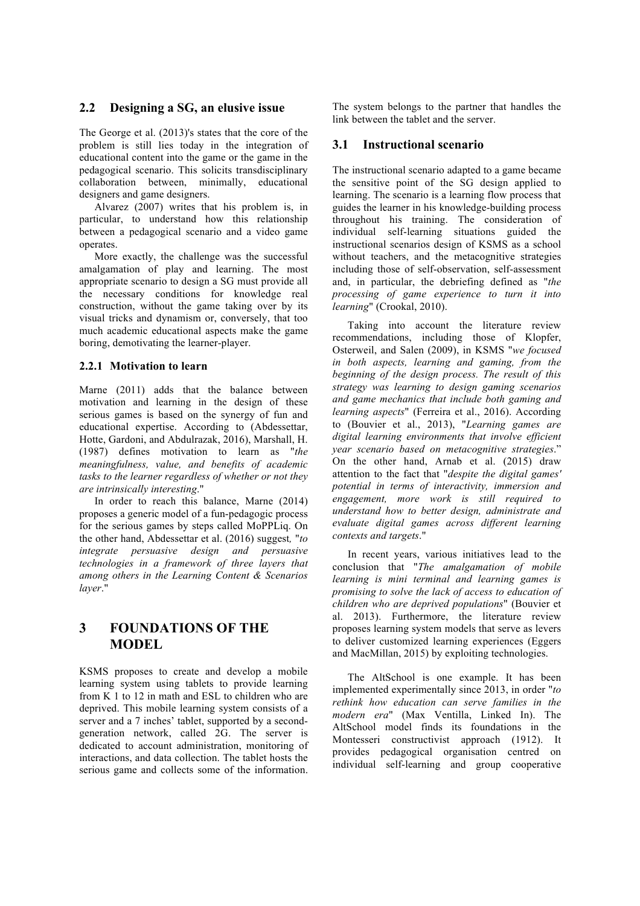#### **2.2 Designing a SG, an elusive issue**

The George et al. (2013)'s states that the core of the problem is still lies today in the integration of educational content into the game or the game in the pedagogical scenario. This solicits transdisciplinary collaboration between, minimally, educational designers and game designers.

Alvarez (2007) writes that his problem is, in particular, to understand how this relationship between a pedagogical scenario and a video game operates.

More exactly, the challenge was the successful amalgamation of play and learning. The most appropriate scenario to design a SG must provide all the necessary conditions for knowledge real construction, without the game taking over by its visual tricks and dynamism or, conversely, that too much academic educational aspects make the game boring, demotivating the learner-player.

#### **2.2.1 Motivation to learn**

Marne (2011) adds that the balance between motivation and learning in the design of these serious games is based on the synergy of fun and educational expertise. According to (Abdessettar, Hotte, Gardoni, and Abdulrazak, 2016), Marshall, H. (1987) defines motivation to learn as "*the meaningfulness, value, and benefits of academic tasks to the learner regardless of whether or not they are intrinsically interesting*."

In order to reach this balance, Marne (2014) proposes a generic model of a fun-pedagogic process for the serious games by steps called MoPPLiq. On the other hand, Abdessettar et al. (2016) suggest*,* "*to integrate persuasive design and persuasive technologies in a framework of three layers that among others in the Learning Content & Scenarios layer*."

# **3 FOUNDATIONS OF THE MODEL**

KSMS proposes to create and develop a mobile learning system using tablets to provide learning from K 1 to 12 in math and ESL to children who are deprived. This mobile learning system consists of a server and a 7 inches' tablet, supported by a secondgeneration network, called 2G. The server is dedicated to account administration, monitoring of interactions, and data collection. The tablet hosts the serious game and collects some of the information.

The system belongs to the partner that handles the link between the tablet and the server.

#### **3.1 Instructional scenario**

The instructional scenario adapted to a game became the sensitive point of the SG design applied to learning. The scenario is a learning flow process that guides the learner in his knowledge-building process throughout his training. The consideration of individual self-learning situations guided the instructional scenarios design of KSMS as a school without teachers, and the metacognitive strategies including those of self-observation, self-assessment and, in particular, the debriefing defined as "*the processing of game experience to turn it into learning*" (Crookal, 2010).

Taking into account the literature review recommendations, including those of Klopfer, Osterweil, and Salen (2009), in KSMS "*we focused in both aspects, learning and gaming, from the beginning of the design process. The result of this strategy was learning to design gaming scenarios and game mechanics that include both gaming and learning aspects*" (Ferreira et al., 2016). According to (Bouvier et al., 2013), "*Learning games are digital learning environments that involve efficient year scenario based on metacognitive strategies*." On the other hand, Arnab et al. (2015) draw attention to the fact that "*despite the digital games' potential in terms of interactivity, immersion and engagement, more work is still required to understand how to better design, administrate and evaluate digital games across different learning contexts and targets*."

In recent years, various initiatives lead to the conclusion that "*The amalgamation of mobile learning is mini terminal and learning games is promising to solve the lack of access to education of children who are deprived populations*" (Bouvier et al. 2013). Furthermore, the literature review proposes learning system models that serve as levers to deliver customized learning experiences (Eggers and MacMillan, 2015) by exploiting technologies.

The AltSchool is one example. It has been implemented experimentally since 2013, in order "*to rethink how education can serve families in the modern era*" (Max Ventilla, Linked In). The AltSchool model finds its foundations in the Montesseri constructivist approach (1912). It provides pedagogical organisation centred on individual self-learning and group cooperative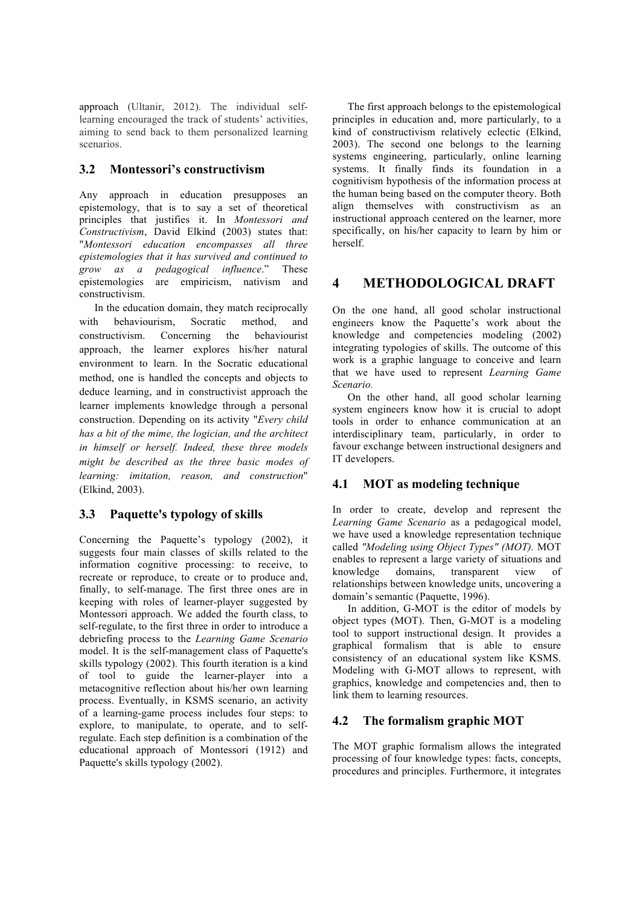approach (Ultanir, 2012). The individual selflearning encouraged the track of students' activities, aiming to send back to them personalized learning scenarios.

# **3.2 Montessori's constructivism**

Any approach in education presupposes an epistemology, that is to say a set of theoretical principles that justifies it. In *Montessori and Constructivism*, David Elkind (2003) states that: "*Montessori education encompasses all three epistemologies that it has survived and continued to grow as a pedagogical influence*." These epistemologies are empiricism, nativism and constructivism.

In the education domain, they match reciprocally with behaviourism, Socratic method, and constructivism. Concerning the behaviourist approach, the learner explores his/her natural environment to learn. In the Socratic educational method, one is handled the concepts and objects to deduce learning, and in constructivist approach the learner implements knowledge through a personal construction. Depending on its activity "*Every child has a bit of the mime, the logician, and the architect in himself or herself. Indeed, these three models might be described as the three basic modes of learning: imitation, reason, and construction*" (Elkind, 2003).

# **3.3 Paquette's typology of skills**

Concerning the Paquette's typology (2002), it suggests four main classes of skills related to the information cognitive processing: to receive, to recreate or reproduce, to create or to produce and, finally, to self-manage. The first three ones are in keeping with roles of learner-player suggested by Montessori approach. We added the fourth class, to self-regulate, to the first three in order to introduce a debriefing process to the *Learning Game Scenario* model. It is the self-management class of Paquette's skills typology (2002). This fourth iteration is a kind of tool to guide the learner-player into a metacognitive reflection about his/her own learning process. Eventually, in KSMS scenario, an activity of a learning-game process includes four steps: to explore, to manipulate, to operate, and to selfregulate. Each step definition is a combination of the educational approach of Montessori (1912) and Paquette's skills typology (2002).

The first approach belongs to the epistemological principles in education and, more particularly, to a kind of constructivism relatively eclectic (Elkind, 2003). The second one belongs to the learning systems engineering, particularly, online learning systems. It finally finds its foundation in a cognitivism hypothesis of the information process at the human being based on the computer theory. Both align themselves with constructivism as an instructional approach centered on the learner, more specifically, on his/her capacity to learn by him or herself.

# **4 METHODOLOGICAL DRAFT**

On the one hand, all good scholar instructional engineers know the Paquette's work about the knowledge and competencies modeling (2002) integrating typologies of skills. The outcome of this work is a graphic language to conceive and learn that we have used to represent *Learning Game Scenario.*

On the other hand, all good scholar learning system engineers know how it is crucial to adopt tools in order to enhance communication at an interdisciplinary team, particularly, in order to favour exchange between instructional designers and IT developers.

# **4.1 MOT as modeling technique**

In order to create, develop and represent the *Learning Game Scenario* as a pedagogical model, we have used a knowledge representation technique called *"Modeling using Object Types" (MOT).* MOT enables to represent a large variety of situations and knowledge domains, transparent view of relationships between knowledge units, uncovering a domain's semantic (Paquette, 1996).

In addition, G-MOT is the editor of models by object types (MOT). Then, G-MOT is a modeling tool to support instructional design. It provides a graphical formalism that is able to ensure consistency of an educational system like KSMS. Modeling with G-MOT allows to represent, with graphics, knowledge and competencies and, then to link them to learning resources.

# **4.2 The formalism graphic MOT**

The MOT graphic formalism allows the integrated processing of four knowledge types: facts, concepts, procedures and principles. Furthermore, it integrates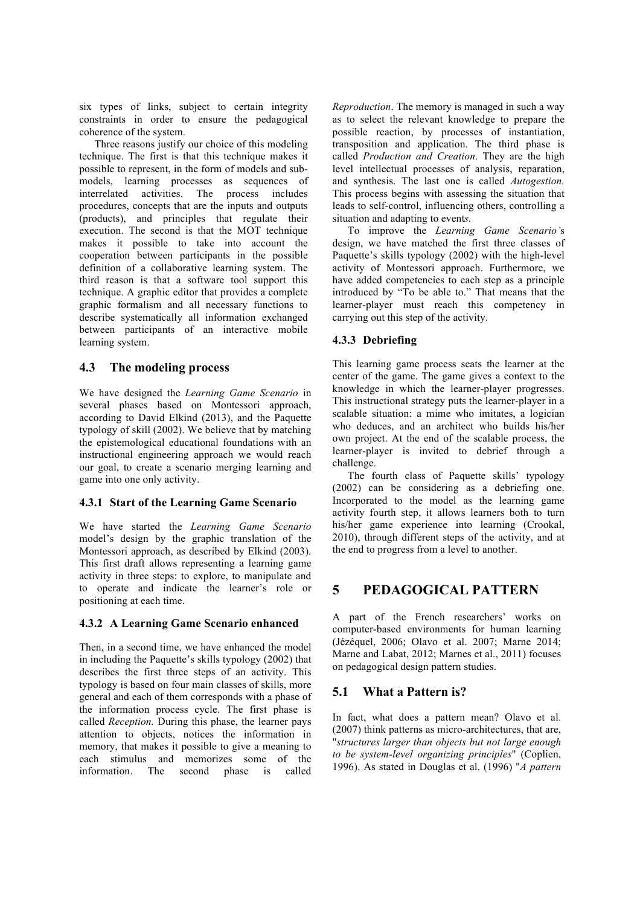six types of links, subject to certain integrity constraints in order to ensure the pedagogical coherence of the system.

Three reasons justify our choice of this modeling technique. The first is that this technique makes it possible to represent, in the form of models and submodels, learning processes as sequences of interrelated activities. The process includes procedures, concepts that are the inputs and outputs (products), and principles that regulate their execution. The second is that the MOT technique makes it possible to take into account the cooperation between participants in the possible definition of a collaborative learning system. The third reason is that a software tool support this technique. A graphic editor that provides a complete graphic formalism and all necessary functions to describe systematically all information exchanged between participants of an interactive mobile learning system.

#### **4.3 The modeling process**

We have designed the *Learning Game Scenario* in several phases based on Montessori approach, according to David Elkind (2013), and the Paquette typology of skill (2002). We believe that by matching the epistemological educational foundations with an instructional engineering approach we would reach our goal, to create a scenario merging learning and game into one only activity.

#### **4.3.1 Start of the Learning Game Scenario**

We have started the *Learning Game Scenario* model's design by the graphic translation of the Montessori approach, as described by Elkind (2003). This first draft allows representing a learning game activity in three steps: to explore, to manipulate and to operate and indicate the learner's role or positioning at each time.

#### **4.3.2 A Learning Game Scenario enhanced**

Then, in a second time, we have enhanced the model in including the Paquette's skills typology (2002) that describes the first three steps of an activity. This typology is based on four main classes of skills, more general and each of them corresponds with a phase of the information process cycle. The first phase is called *Reception.* During this phase, the learner pays attention to objects, notices the information in memory, that makes it possible to give a meaning to each stimulus and memorizes some of the information. The second phase is called

*Reproduction*. The memory is managed in such a way as to select the relevant knowledge to prepare the possible reaction, by processes of instantiation, transposition and application. The third phase is called *Production and Creation*. They are the high level intellectual processes of analysis, reparation, and synthesis. The last one is called *Autogestion.*  This process begins with assessing the situation that leads to self-control, influencing others, controlling a situation and adapting to event*s.*

To improve the *Learning Game Scenario'*s design, we have matched the first three classes of Paquette's skills typology (2002) with the high-level activity of Montessori approach. Furthermore, we have added competencies to each step as a principle introduced by "To be able to." That means that the learner-player must reach this competency in carrying out this step of the activity.

#### **4.3.3 Debriefing**

This learning game process seats the learner at the center of the game. The game gives a context to the knowledge in which the learner-player progresses. This instructional strategy puts the learner-player in a scalable situation: a mime who imitates, a logician who deduces, and an architect who builds his/her own project. At the end of the scalable process, the learner-player is invited to debrief through a challenge.

The fourth class of Paquette skills' typology (2002) can be considering as a debriefing one. Incorporated to the model as the learning game activity fourth step, it allows learners both to turn his/her game experience into learning (Crookal, 2010), through different steps of the activity, and at the end to progress from a level to another.

# **5 PEDAGOGICAL PATTERN**

A part of the French researchers' works on computer-based environments for human learning (Jézéquel, 2006; Olavo et al. 2007; Marne 2014; Marne and Labat, 2012; Marnes et al., 2011) focuses on pedagogical design pattern studies.

# **5.1 What a Pattern is?**

In fact, what does a pattern mean? Olavo et al. (2007) think patterns as micro-architectures, that are, "*structures larger than objects but not large enough to be system-level organizing principles*" (Coplien, 1996). As stated in Douglas et al. (1996) "*A pattern*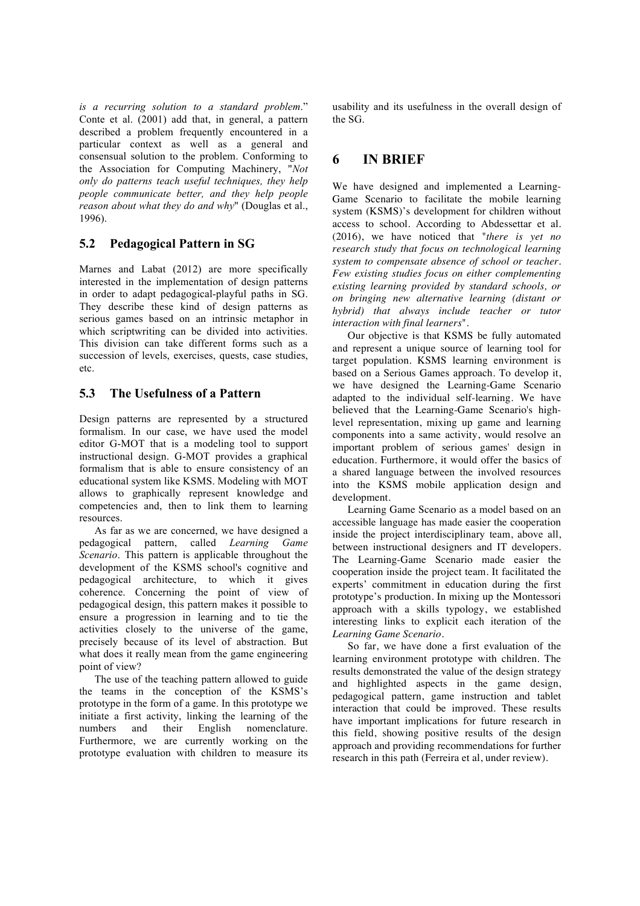*is a recurring solution to a standard problem*." Conte et al. (2001) add that, in general, a pattern described a problem frequently encountered in a particular context as well as a general and consensual solution to the problem. Conforming to the Association for Computing Machinery, "*Not only do patterns teach useful techniques, they help people communicate better, and they help people reason about what they do and why*" (Douglas et al., 1996).

# **5.2 Pedagogical Pattern in SG**

Marnes and Labat (2012) are more specifically interested in the implementation of design patterns in order to adapt pedagogical-playful paths in SG. They describe these kind of design patterns as serious games based on an intrinsic metaphor in which scriptwriting can be divided into activities. This division can take different forms such as a succession of levels, exercises, quests, case studies, etc.

### **5.3 The Usefulness of a Pattern**

Design patterns are represented by a structured formalism. In our case, we have used the model editor G-MOT that is a modeling tool to support instructional design. G-MOT provides a graphical formalism that is able to ensure consistency of an educational system like KSMS. Modeling with MOT allows to graphically represent knowledge and competencies and, then to link them to learning resources.

As far as we are concerned, we have designed a pedagogical pattern, called *Learning Game Scenario*. This pattern is applicable throughout the development of the KSMS school's cognitive and pedagogical architecture, to which it gives coherence. Concerning the point of view of pedagogical design, this pattern makes it possible to ensure a progression in learning and to tie the activities closely to the universe of the game, precisely because of its level of abstraction. But what does it really mean from the game engineering point of view?

The use of the teaching pattern allowed to guide the teams in the conception of the KSMS's prototype in the form of a game. In this prototype we initiate a first activity, linking the learning of the numbers and their English nomenclature. Furthermore, we are currently working on the prototype evaluation with children to measure its

usability and its usefulness in the overall design of the SG.

# **6 IN BRIEF**

We have designed and implemented a Learning-Game Scenario to facilitate the mobile learning system (KSMS)'s development for children without access to school. According to Abdessettar et al. (2016), we have noticed that "*there is yet no research study that focus on technological learning system to compensate absence of school or teacher. Few existing studies focus on either complementing existing learning provided by standard schools, or on bringing new alternative learning (distant or hybrid) that always include teacher or tutor interaction with final learners*".

Our objective is that KSMS be fully automated and represent a unique source of learning tool for target population. KSMS learning environment is based on a Serious Games approach. To develop it, we have designed the Learning-Game Scenario adapted to the individual self-learning. We have believed that the Learning-Game Scenario's highlevel representation, mixing up game and learning components into a same activity, would resolve an important problem of serious games' design in education. Furthermore, it would offer the basics of a shared language between the involved resources into the KSMS mobile application design and development.

Learning Game Scenario as a model based on an accessible language has made easier the cooperation inside the project interdisciplinary team, above all, between instructional designers and IT developers. The Learning-Game Scenario made easier the cooperation inside the project team. It facilitated the experts' commitment in education during the first prototype's production. In mixing up the Montessori approach with a skills typology, we established interesting links to explicit each iteration of the *Learning Game Scenario*.

So far, we have done a first evaluation of the learning environment prototype with children. The results demonstrated the value of the design strategy and highlighted aspects in the game design, pedagogical pattern, game instruction and tablet interaction that could be improved. These results have important implications for future research in this field, showing positive results of the design approach and providing recommendations for further research in this path (Ferreira et al, under review).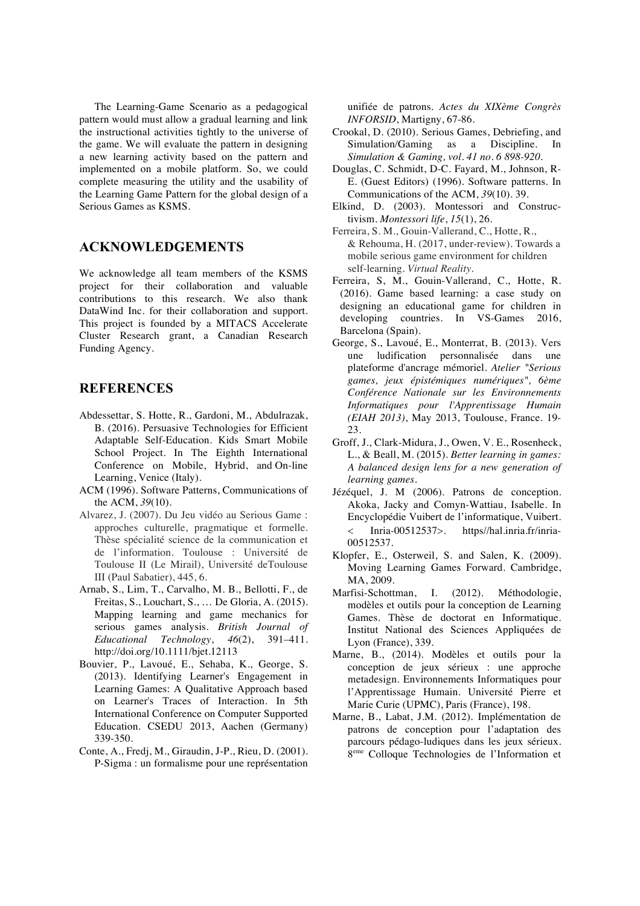The Learning-Game Scenario as a pedagogical pattern would must allow a gradual learning and link the instructional activities tightly to the universe of the game. We will evaluate the pattern in designing a new learning activity based on the pattern and implemented on a mobile platform. So, we could complete measuring the utility and the usability of the Learning Game Pattern for the global design of a Serious Games as KSMS.

# **ACKNOWLEDGEMENTS**

We acknowledge all team members of the KSMS project for their collaboration and valuable contributions to this research. We also thank DataWind Inc. for their collaboration and support. This project is founded by a MITACS Accelerate Cluster Research grant, a Canadian Research Funding Agency.

### **REFERENCES**

- Abdessettar, S. Hotte, R., Gardoni, M., Abdulrazak, B. (2016). Persuasive Technologies for Efficient Adaptable Self-Education. Kids Smart Mobile School Project. In The Eighth International Conference on Mobile, Hybrid, and On-line Learning, Venice (Italy).
- ACM (1996). Software Patterns, Communications of the ACM, *39*(10).
- Alvarez, J. (2007). Du Jeu vidéo au Serious Game : approches culturelle, pragmatique et formelle. Thèse spécialité science de la communication et de l'information. Toulouse : Université de Toulouse II (Le Mirail), Université deToulouse III (Paul Sabatier), 445, 6.
- Arnab, S., Lim, T., Carvalho, M. B., Bellotti, F., de Freitas, S., Louchart, S., … De Gloria, A. (2015). Mapping learning and game mechanics for serious games analysis. *British Journal of Educational Technology*, *46*(2), 391–411. http://doi.org/10.1111/bjet.12113
- Bouvier, P., Lavoué, E., Sehaba, K., George, S. (2013). Identifying Learner's Engagement in Learning Games: A Qualitative Approach based on Learner's Traces of Interaction. In 5th International Conference on Computer Supported Education. CSEDU 2013, Aachen (Germany) 339-350.
- Conte, A., Fredj, M., Giraudin, J-P., Rieu, D. (2001). P-Sigma : un formalisme pour une représentation

unifiée de patrons. *Actes du XIXème Congrès INFORSID*, Martigny, 67-86.

- Crookal, D. (2010). Serious Games, Debriefing, and Simulation/Gaming as a Discipline. In *Simulation & Gaming, vol. 41 no. 6 898-920.*
- Douglas, C. Schmidt, D-C. Fayard, M., Johnson, R-E. (Guest Editors) (1996). Software patterns. In Communications of the ACM, *39*(10). 39.
- Elkind, D. (2003). Montessori and Constructivism. *Montessori life*, *15*(1), 26.
- Ferreira, S. M., Gouin-Vallerand, C., Hotte, R., & Rehouma, H. (2017, under-review). Towards a mobile serious game environment for children self-learning. *Virtual Reality.*
- Ferreira, S, M., Gouin-Vallerand, C., Hotte, R. (2016). Game based learning: a case study on designing an educational game for children in developing countries. In VS-Games 2016, Barcelona (Spain).
- George, S., Lavoué, E., Monterrat, B. (2013). Vers une ludification personnalisée dans une plateforme d'ancrage mémoriel. *Atelier "Serious games, jeux épistémiques numériques", 6ème Conférence Nationale sur les Environnements Informatiques pour l'Apprentissage Humain (EIAH 2013)*, May 2013, Toulouse, France. 19-  $23.$
- Groff, J., Clark-Midura, J., Owen, V. E., Rosenheck, L., & Beall, M. (2015). *Better learning in games: A balanced design lens for a new generation of learning games*.
- Jézéquel, J. M (2006). Patrons de conception. Akoka, Jacky and Comyn-Wattiau, Isabelle. In Encyclopédie Vuibert de l'informatique, Vuibert. < Inria-00512537>. https//hal.inria.fr/inria-00512537.
- Klopfer, E., Osterweil, S. and Salen, K. (2009). Moving Learning Games Forward. Cambridge, MA, 2009.
- Marfisi-Schottman, I. (2012). Méthodologie, modèles et outils pour la conception de Learning Games. Thèse de doctorat en Informatique. Institut National des Sciences Appliquées de Lyon (France), 339.
- Marne, B., (2014). Modèles et outils pour la conception de jeux sérieux : une approche metadesign. Environnements Informatiques pour l'Apprentissage Humain. Université Pierre et Marie Curie (UPMC), Paris (France), 198.
- Marne, B., Labat, J.M. (2012). Implémentation de patrons de conception pour l'adaptation des parcours pédago-ludiques dans les jeux sérieux. 8eme Colloque Technologies de l'Information et